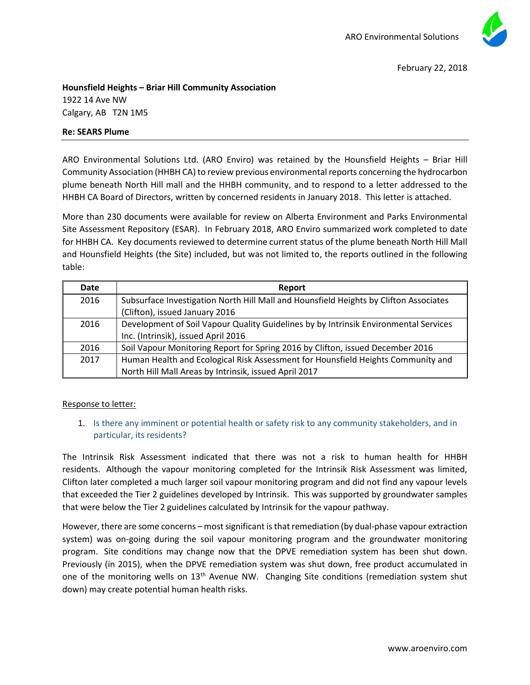

February 22, 2018

**Hounsfield Heights – Briar Hill Community Association** 1922 14 Ave NW Calgary, AB T2N 1M5

## **Re: SEARS Plume**

ARO Environmental Solutions Ltd. (ARO Enviro) was retained by the Hounsfield Heights – Briar Hill Community Association (HHBH CA) to review previous environmental reports concerning the hydrocarbon plume beneath North Hill mall and the HHBH community, and to respond to a letter addressed to the HHBH CA Board of Directors, written by concerned residents in January 2018. This letter is attached.

More than 230 documents were available for review on Alberta Environment and Parks Environmental Site Assessment Repository (ESAR). In February 2018, ARO Enviro summarized work completed to date for HHBH CA. Key documents reviewed to determine current status of the plume beneath North Hill Mall and Hounsfield Heights (the Site) included, but was not limited to, the reports outlined in the following table:

| Date | Report                                                                                |
|------|---------------------------------------------------------------------------------------|
| 2016 | Subsurface Investigation North Hill Mall and Hounsfield Heights by Clifton Associates |
|      | (Clifton), issued January 2016                                                        |
| 2016 | Development of Soil Vapour Quality Guidelines by by Intrinsik Environmental Services  |
|      | Inc. (Intrinsik), issued April 2016                                                   |
| 2016 | Soil Vapour Monitoring Report for Spring 2016 by Clifton, issued December 2016        |
| 2017 | Human Health and Ecological Risk Assessment for Hounsfield Heights Community and      |
|      | North Hill Mall Areas by Intrinsik, issued April 2017                                 |

## Response to letter:

## 1. Is there any imminent or potential health or safety risk to any community stakeholders, and in particular, its residents?

The Intrinsik Risk Assessment indicated that there was not a risk to human health for HHBH residents. Although the vapour monitoring completed for the Intrinsik Risk Assessment was limited, Clifton later completed a much larger soil vapour monitoring program and did not find any vapour levels that exceeded the Tier 2 guidelines developed by Intrinsik. This was supported by groundwater samples that were below the Tier 2 guidelines calculated by Intrinsik for the vapour pathway.

However, there are some concerns – most significant is that remediation (by dual-phase vapour extraction system) was on-going during the soil vapour monitoring program and the groundwater monitoring program. Site conditions may change now that the DPVE remediation system has been shut down. Previously (in 2015), when the DPVE remediation system was shut down, free product accumulated in one of the monitoring wells on  $13<sup>th</sup>$  Avenue NW. Changing Site conditions (remediation system shut down) may create potential human health risks.